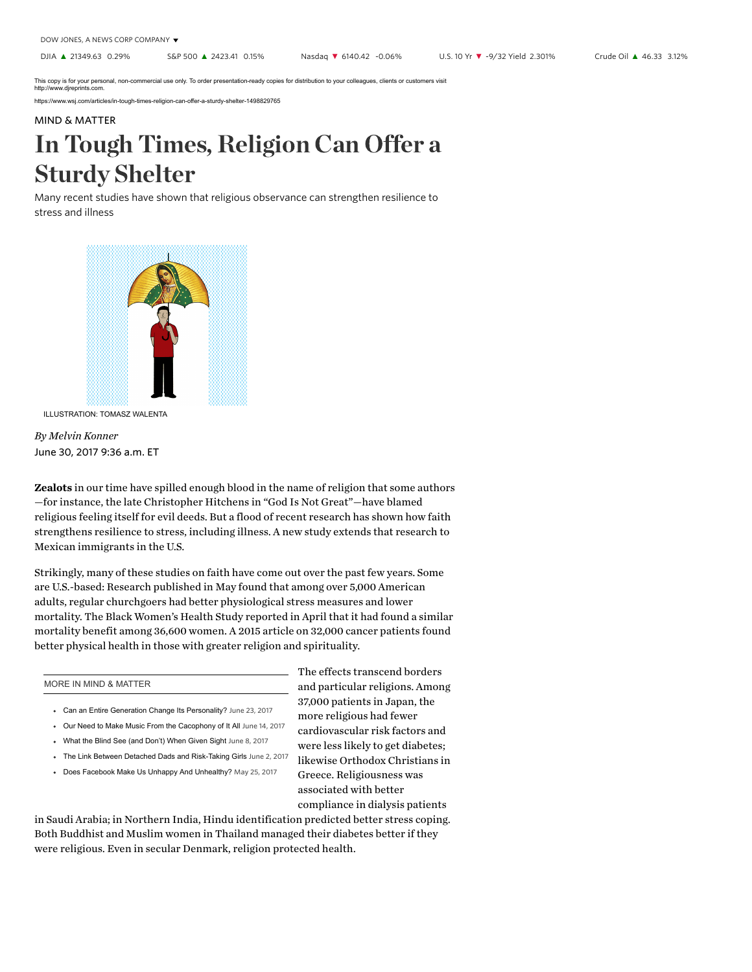This copy is for your personal, non-commercial use only. To order presentation-ready copies for distribution to your colleagues, clients or customers visit<br>http://www.djreprints.com.

https://www.wsj.com/articles/in-tough-times-religion-can-offer-a-sturdy-shelter-1498829765

## MIND & [MATTER](https://www.wsj.com/news/types/mind-matter)

## In Tough Times, Religion Can Offer a Sturdy Shelter

Many recent studies have shown that religious observance can strengthen resilience to stress and illness



ILLUSTRATION: TOMASZ WALENTA

June 30, 2017 9:36 a.m. ET By Melvin Konner

Zealots in our time have spilled enough blood in the name of religion that some authors —for instance, the late Christopher Hitchens in "God Is Not Great"—have blamed religious feeling itself for evil deeds. But a flood of recent research has shown how faith strengthens resilience to stress, including illness. A new study extends that research to Mexican immigrants in the U.S.

Strikingly, many of these studies on faith have come out over the past few years. Some are U.S.-based: [Research published in](http://journals.plos.org/plosone/article?id=10.1371/journal.pone.0177618) May found that among over 5,000 American adults, regular churchgoers had better physiological stress measures and lower mortality. The Black Women's Health Study [reported in](https://www.ncbi.nlm.nih.gov/pubmed/28338863) April that it had found a similar mortality benefit among 36,600 women. A 2015 article on 32,000 cancer [patients](https://www.ncbi.nlm.nih.gov/pmc/articles/PMC4618080/) found better physical health in those with greater religion and spirituality.

## MORE IN MIND & MATTER

- [Can an Entire Generation Change Its Personality?](https://www.wsj.com/articles/can-an-entire-generation-change-its-personality-1498245984) June 23, 2017
- [Our Need to Make Music From the Cacophony of It All](https://www.wsj.com/articles/our-need-to-make-music-from-the-cacophony-of-it-all-1497452420) June 14, 2017
- [What the Blind See \(and Don't\) When Given Sight](https://www.wsj.com/articles/what-the-blind-see-and-dont-when-given-sight-1496941631) June 8, 2017
- The Link Between Detached Dads and Risk-Taking Girls June 2, 2017
- [Does Facebook Make Us Unhappy And Unhealthy?](https://www.wsj.com/articles/does-facebook-make-us-unhappy-and-unhealthy-1495729227) May 25, 2017

The effects transcend borders [and particular](https://www.ncbi.nlm.nih.gov/pmc/articles/PMC4597307/) religions. Among 37,000 patients in Japan, the more religious had fewer cardiovascular risk factors and were less likely to get diabetes; likewise Orthodox Christians in Greece. Religiousness was associated with better compliance in dialysis patients

in Saudi Arabia; in Northern India, Hindu identification predicted better stress coping. Both Buddhist and Muslim women in Thailand managed their diabetes better if they were religious. Even in secular Denmark, religion protected health.